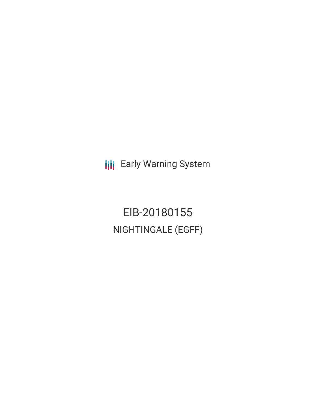**III** Early Warning System

EIB-20180155 NIGHTINGALE (EGFF)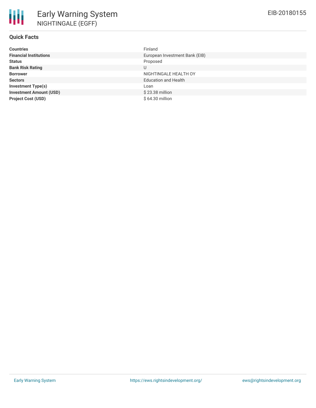| <b>Countries</b>               | Finland                        |
|--------------------------------|--------------------------------|
| <b>Financial Institutions</b>  | European Investment Bank (EIB) |
| <b>Status</b>                  | Proposed                       |
| <b>Bank Risk Rating</b>        | U                              |
| <b>Borrower</b>                | NIGHTINGALE HEALTH OY          |
| <b>Sectors</b>                 | <b>Education and Health</b>    |
| Investment Type(s)             | Loan                           |
| <b>Investment Amount (USD)</b> | \$23.38 million                |
| <b>Project Cost (USD)</b>      | \$64.30 million                |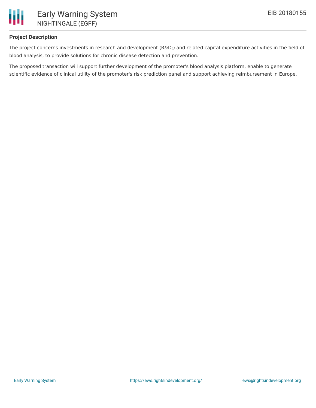

## **Project Description**

The project concerns investments in research and development (R&D;) and related capital expenditure activities in the field of blood analysis, to provide solutions for chronic disease detection and prevention.

The proposed transaction will support further development of the promoter's blood analysis platform, enable to generate scientific evidence of clinical utility of the promoter's risk prediction panel and support achieving reimbursement in Europe.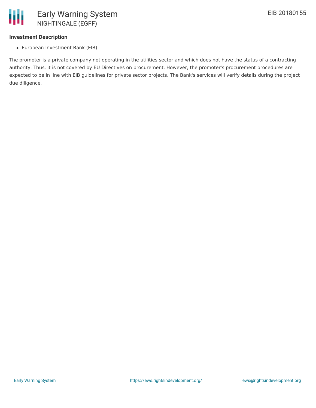

#### **Investment Description**

European Investment Bank (EIB)

The promoter is a private company not operating in the utilities sector and which does not have the status of a contracting authority. Thus, it is not covered by EU Directives on procurement. However, the promoter's procurement procedures are expected to be in line with EIB guidelines for private sector projects. The Bank's services will verify details during the project due diligence.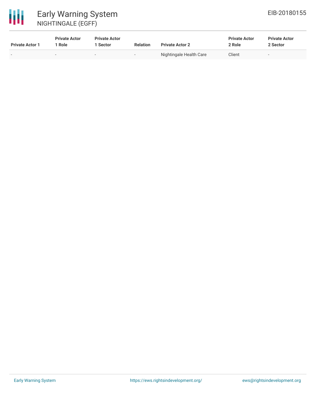

# Early Warning System NIGHTINGALE (EGFF)

| <b>Private Actor 1</b> | <b>Private Actor</b><br>Role | <b>Private Actor</b><br>  Sector | <b>Relation</b>          | <b>Private Actor 2</b>  | <b>Private Actor</b><br>2 Role | <b>Private Actor</b><br>2 Sector |  |
|------------------------|------------------------------|----------------------------------|--------------------------|-------------------------|--------------------------------|----------------------------------|--|
| $\sim$                 |                              |                                  | $\overline{\phantom{a}}$ | Nightingale Health Care | Client                         | $\sim$                           |  |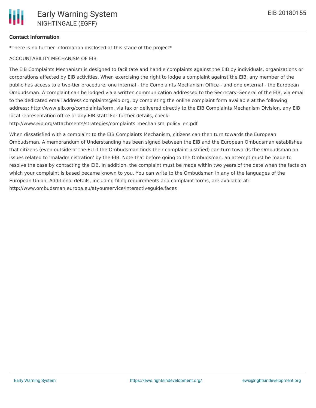### **Contact Information**

\*There is no further information disclosed at this stage of the project\*

#### ACCOUNTABILITY MECHANISM OF EIB

The EIB Complaints Mechanism is designed to facilitate and handle complaints against the EIB by individuals, organizations or corporations affected by EIB activities. When exercising the right to lodge a complaint against the EIB, any member of the public has access to a two-tier procedure, one internal - the Complaints Mechanism Office - and one external - the European Ombudsman. A complaint can be lodged via a written communication addressed to the Secretary-General of the EIB, via email to the dedicated email address complaints@eib.org, by completing the online complaint form available at the following address: http://www.eib.org/complaints/form, via fax or delivered directly to the EIB Complaints Mechanism Division, any EIB local representation office or any EIB staff. For further details, check:

http://www.eib.org/attachments/strategies/complaints\_mechanism\_policy\_en.pdf

When dissatisfied with a complaint to the EIB Complaints Mechanism, citizens can then turn towards the European Ombudsman. A memorandum of Understanding has been signed between the EIB and the European Ombudsman establishes that citizens (even outside of the EU if the Ombudsman finds their complaint justified) can turn towards the Ombudsman on issues related to 'maladministration' by the EIB. Note that before going to the Ombudsman, an attempt must be made to resolve the case by contacting the EIB. In addition, the complaint must be made within two years of the date when the facts on which your complaint is based became known to you. You can write to the Ombudsman in any of the languages of the European Union. Additional details, including filing requirements and complaint forms, are available at: http://www.ombudsman.europa.eu/atyourservice/interactiveguide.faces